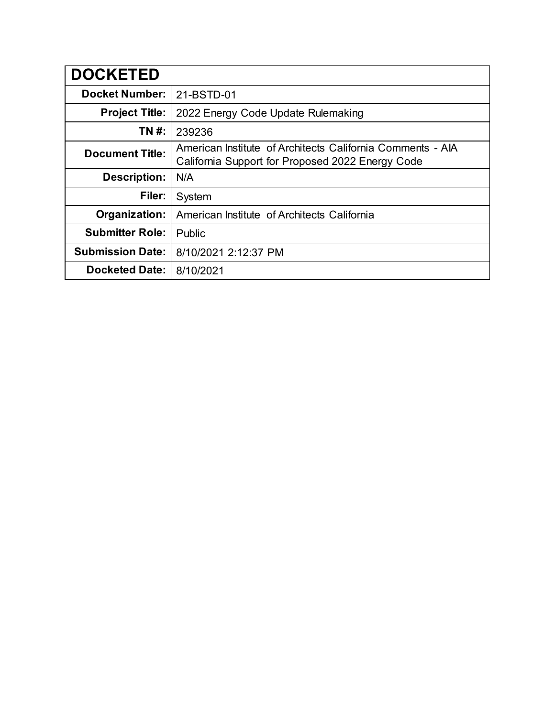| <b>DOCKETED</b>         |                                                                                                                |
|-------------------------|----------------------------------------------------------------------------------------------------------------|
| <b>Docket Number:</b>   | 21-BSTD-01                                                                                                     |
| <b>Project Title:</b>   | 2022 Energy Code Update Rulemaking                                                                             |
| TN #:                   | 239236                                                                                                         |
| <b>Document Title:</b>  | American Institute of Architects California Comments - AIA<br>California Support for Proposed 2022 Energy Code |
| <b>Description:</b>     | N/A                                                                                                            |
| Filer:                  | System                                                                                                         |
| Organization:           | American Institute of Architects California                                                                    |
| <b>Submitter Role:</b>  | Public                                                                                                         |
| <b>Submission Date:</b> | 8/10/2021 2:12:37 PM                                                                                           |
| <b>Docketed Date:</b>   | 8/10/2021                                                                                                      |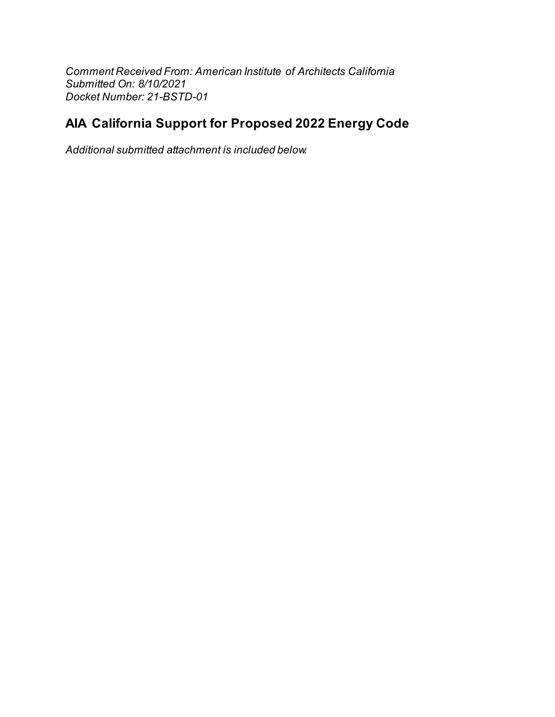Comment Received From: American Institute of Architects California Submitted On: 8/10/2021 Docket Number: 21-BSTD-01

## AIA California Support for Proposed 2022 Energy Code

Additional submitted attachment is included below.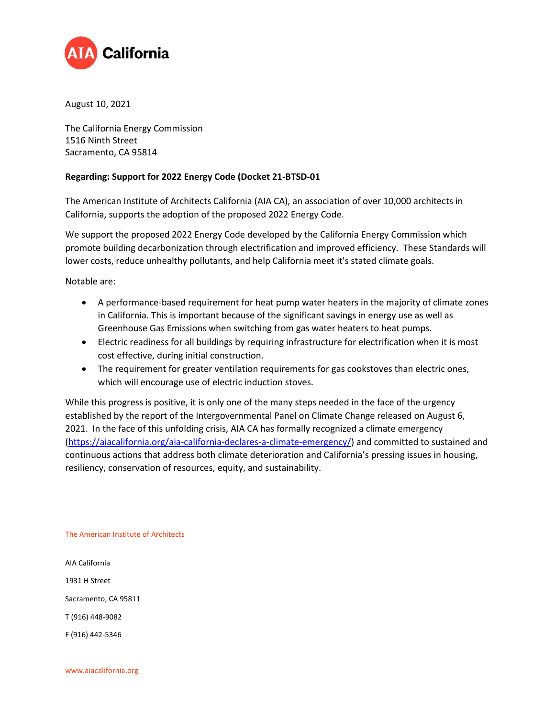

August 10, 2021

The California Energy Commission 1516 Ninth Street Sacramento, CA 95814

## **Regarding: Support for 2022 Energy Code (Docket 21-BTSD-01**

The American Institute of Architects California (AIA CA), an association of over 10,000 architects in California, supports the adoption of the proposed 2022 Energy Code.

We support the proposed 2022 Energy Code developed by the California Energy Commission which promote building decarbonization through electrification and improved efficiency. These Standards will lower costs, reduce unhealthy pollutants, and help California meet it's stated climate goals.

Notable are:

- A performance-based requirement for heat pump water heaters in the majority of climate zones in California. This is important because of the significant savings in energy use as well as Greenhouse Gas Emissions when switching from gas water heaters to heat pumps.
- Electric readiness for all buildings by requiring infrastructure for electrification when it is most cost effective, during initial construction.
- The requirement for greater ventilation requirements for gas cookstoves than electric ones, which will encourage use of electric induction stoves.

While this progress is positive, it is only one of the many steps needed in the face of the urgency established by the report of the Intergovernmental Panel on Climate Change released on August 6, 2021. In the face of this unfolding crisis, AIA CA has formally recognized a climate emergency [\(https://aiacalifornia.org/aia-california-declares-a-climate-emergency/\)](https://aiacalifornia.org/aia-california-declares-a-climate-emergency/) and committed to sustained and continuous actions that address both climate deterioration and California's pressing issues in housing, resiliency, conservation of resources, equity, and sustainability.

The American Institute of Architects

AIA California 1931 H Street Sacramento, CA 95811 T (916) 448-9082 F (916) 442-5346